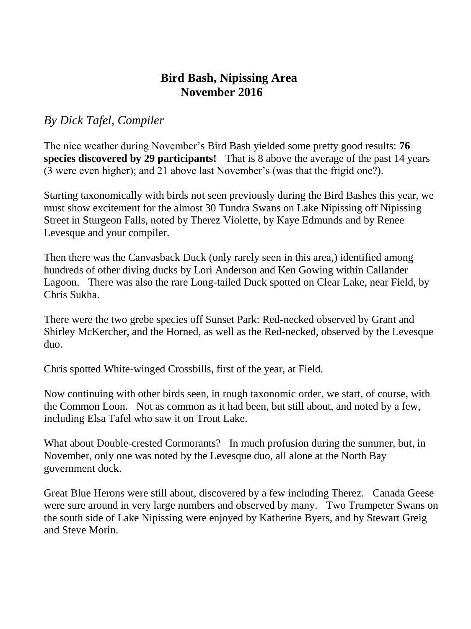## **Bird Bash, Nipissing Area November 2016**

*By Dick Tafel, Compiler* 

The nice weather during November's Bird Bash yielded some pretty good results: **76 species discovered by 29 participants!** That is 8 above the average of the past 14 years (3 were even higher); and 21 above last November's (was that the frigid one?).

Starting taxonomically with birds not seen previously during the Bird Bashes this year, we must show excitement for the almost 30 Tundra Swans on Lake Nipissing off Nipissing Street in Sturgeon Falls, noted by Therez Violette, by Kaye Edmunds and by Renee Levesque and your compiler.

Then there was the Canvasback Duck (only rarely seen in this area,) identified among hundreds of other diving ducks by Lori Anderson and Ken Gowing within Callander Lagoon. There was also the rare Long-tailed Duck spotted on Clear Lake, near Field, by Chris Sukha.

There were the two grebe species off Sunset Park: Red-necked observed by Grant and Shirley McKercher, and the Horned, as well as the Red-necked, observed by the Levesque duo.

Chris spotted White-winged Crossbills, first of the year, at Field.

Now continuing with other birds seen, in rough taxonomic order, we start, of course, with the Common Loon. Not as common as it had been, but still about, and noted by a few, including Elsa Tafel who saw it on Trout Lake.

What about Double-crested Cormorants? In much profusion during the summer, but, in November, only one was noted by the Levesque duo, all alone at the North Bay government dock.

Great Blue Herons were still about, discovered by a few including Therez. Canada Geese were sure around in very large numbers and observed by many. Two Trumpeter Swans on the south side of Lake Nipissing were enjoyed by Katherine Byers, and by Stewart Greig and Steve Morin.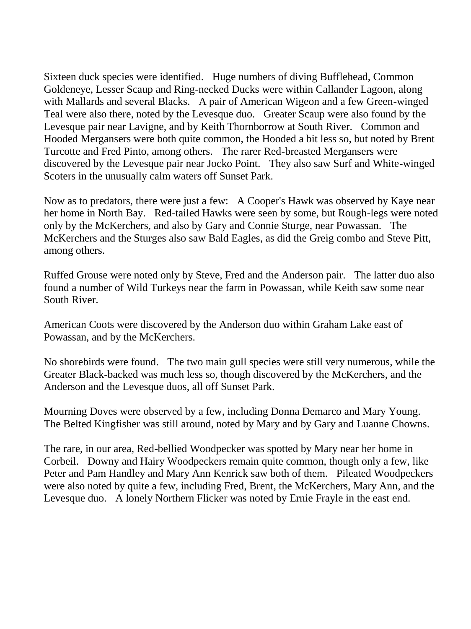Sixteen duck species were identified. Huge numbers of diving Bufflehead, Common Goldeneye, Lesser Scaup and Ring-necked Ducks were within Callander Lagoon, along with Mallards and several Blacks. A pair of American Wigeon and a few Green-winged Teal were also there, noted by the Levesque duo. Greater Scaup were also found by the Levesque pair near Lavigne, and by Keith Thornborrow at South River. Common and Hooded Mergansers were both quite common, the Hooded a bit less so, but noted by Brent Turcotte and Fred Pinto, among others. The rarer Red-breasted Mergansers were discovered by the Levesque pair near Jocko Point. They also saw Surf and White-winged Scoters in the unusually calm waters off Sunset Park.

Now as to predators, there were just a few: A Cooper's Hawk was observed by Kaye near her home in North Bay. Red-tailed Hawks were seen by some, but Rough-legs were noted only by the McKerchers, and also by Gary and Connie Sturge, near Powassan. The McKerchers and the Sturges also saw Bald Eagles, as did the Greig combo and Steve Pitt, among others.

Ruffed Grouse were noted only by Steve, Fred and the Anderson pair. The latter duo also found a number of Wild Turkeys near the farm in Powassan, while Keith saw some near South River.

American Coots were discovered by the Anderson duo within Graham Lake east of Powassan, and by the McKerchers.

No shorebirds were found. The two main gull species were still very numerous, while the Greater Black-backed was much less so, though discovered by the McKerchers, and the Anderson and the Levesque duos, all off Sunset Park.

Mourning Doves were observed by a few, including Donna Demarco and Mary Young. The Belted Kingfisher was still around, noted by Mary and by Gary and Luanne Chowns.

The rare, in our area, Red-bellied Woodpecker was spotted by Mary near her home in Corbeil. Downy and Hairy Woodpeckers remain quite common, though only a few, like Peter and Pam Handley and Mary Ann Kenrick saw both of them. Pileated Woodpeckers were also noted by quite a few, including Fred, Brent, the McKerchers, Mary Ann, and the Levesque duo. A lonely Northern Flicker was noted by Ernie Frayle in the east end.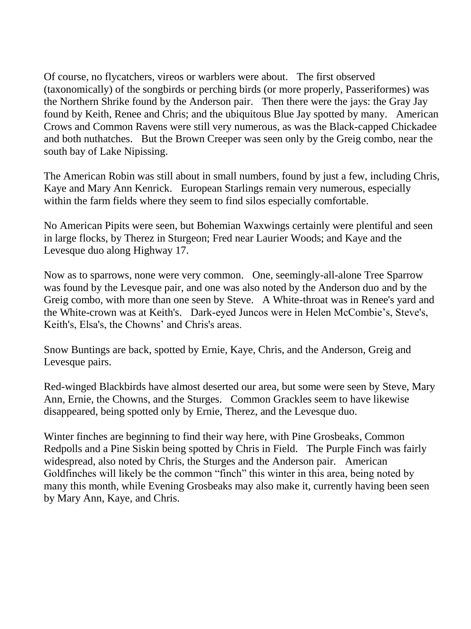Of course, no flycatchers, vireos or warblers were about. The first observed (taxonomically) of the songbirds or perching birds (or more properly, Passeriformes) was the Northern Shrike found by the Anderson pair. Then there were the jays: the Gray Jay found by Keith, Renee and Chris; and the ubiquitous Blue Jay spotted by many. American Crows and Common Ravens were still very numerous, as was the Black-capped Chickadee and both nuthatches. But the Brown Creeper was seen only by the Greig combo, near the south bay of Lake Nipissing.

The American Robin was still about in small numbers, found by just a few, including Chris, Kaye and Mary Ann Kenrick. European Starlings remain very numerous, especially within the farm fields where they seem to find silos especially comfortable.

No American Pipits were seen, but Bohemian Waxwings certainly were plentiful and seen in large flocks, by Therez in Sturgeon; Fred near Laurier Woods; and Kaye and the Levesque duo along Highway 17.

Now as to sparrows, none were very common. One, seemingly-all-alone Tree Sparrow was found by the Levesque pair, and one was also noted by the Anderson duo and by the Greig combo, with more than one seen by Steve. A White-throat was in Renee's yard and the White-crown was at Keith's. Dark-eyed Juncos were in Helen McCombie's, Steve's, Keith's, Elsa's, the Chowns' and Chris's areas.

Snow Buntings are back, spotted by Ernie, Kaye, Chris, and the Anderson, Greig and Levesque pairs.

Red-winged Blackbirds have almost deserted our area, but some were seen by Steve, Mary Ann, Ernie, the Chowns, and the Sturges. Common Grackles seem to have likewise disappeared, being spotted only by Ernie, Therez, and the Levesque duo.

Winter finches are beginning to find their way here, with Pine Grosbeaks, Common Redpolls and a Pine Siskin being spotted by Chris in Field. The Purple Finch was fairly widespread, also noted by Chris, the Sturges and the Anderson pair. American Goldfinches will likely be the common "finch" this winter in this area, being noted by many this month, while Evening Grosbeaks may also make it, currently having been seen by Mary Ann, Kaye, and Chris.